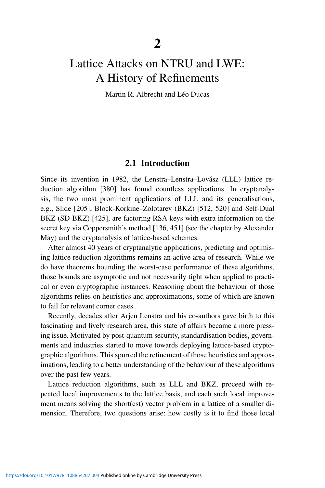# Lattice Attacks on NTRU and LWE: A History of Refinements

Martin R. Albrecht and Léo Ducas

# 2.1 Introduction

Since its invention in 1982, the Lenstra–Lenstra–Lovász (LLL) lattice reduction algorithm [380] has found countless applications. In cryptanalysis, the two most prominent applications of LLL and its generalisations, e.g., Slide [205], Block-Korkine–Zolotarev (BKZ) [512, 520] and Self-Dual BKZ (SD-BKZ) [425], are factoring RSA keys with extra information on the secret key via Coppersmith's method [136, 451] (see the chapter by Alexander May) and the cryptanalysis of lattice-based schemes.

After almost 40 years of cryptanalytic applications, predicting and optimising lattice reduction algorithms remains an active area of research. While we do have theorems bounding the worst-case performance of these algorithms, those bounds are asymptotic and not necessarily tight when applied to practical or even cryptographic instances. Reasoning about the behaviour of those algorithms relies on heuristics and approximations, some of which are known to fail for relevant corner cases.

Recently, decades after Arjen Lenstra and his co-authors gave birth to this fascinating and lively research area, this state of affairs became a more pressing issue. Motivated by post-quantum security, standardisation bodies, governments and industries started to move towards deploying lattice-based cryptographic algorithms. This spurred the refinement of those heuristics and approximations, leading to a better understanding of the behaviour of these algorithms over the past few years.

Lattice reduction algorithms, such as LLL and BKZ, proceed with repeated local improvements to the lattice basis, and each such local improvement means solving the short(est) vector problem in a lattice of a smaller dimension. Therefore, two questions arise: how costly is it to find those local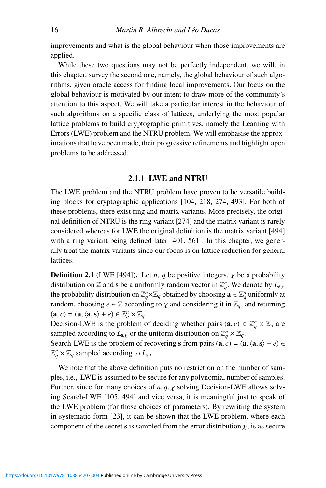improvements and what is the global behaviour when those improvements are applied.

While these two questions may not be perfectly independent, we will, in this chapter, survey the second one, namely, the global behaviour of such algorithms, given oracle access for finding local improvements. Our focus on the global behaviour is motivated by our intent to draw more of the community's attention to this aspect. We will take a particular interest in the behaviour of such algorithms on a specific class of lattices, underlying the most popular lattice problems to build cryptographic primitives, namely the Learning with Errors (LWE) problem and the NTRU problem. We will emphasise the approximations that have been made, their progressive refinements and highlight open problems to be addressed.

#### 2.1.1 LWE and NTRU

The LWE problem and the NTRU problem have proven to be versatile building blocks for cryptographic applications [104, 218, 274, 493]. For both of these problems, there exist ring and matrix variants. More precisely, the original definition of NTRU is the ring variant [274] and the matrix variant is rarely considered whereas for LWE the original definition is the matrix variant [494] with a ring variant being defined later [401, 561]. In this chapter, we generally treat the matrix variants since our focus is on lattice reduction for general lattices.

**Definition 2.1** (LWE [494]). Let *n*, *q* be positive integers,  $\chi$  be a probability distribution on  $\mathbb{Z}$  and s be a uniformly random vector in  $\mathbb{Z}_q^n$ . We denote by  $L_{s,x}$ the probability distribution on  $\mathbb{Z}_q^n\times\mathbb{Z}_q$  obtained by choosing  $\mathbf{a}\in\mathbb{Z}_q^n$  uniformly at random, choosing  $e \in \mathbb{Z}$  according to  $\chi$  and considering it in  $\mathbb{Z}_q$ , and returning  $(\mathbf{a}, c) = (\mathbf{a}, \langle \mathbf{a}, \mathbf{s} \rangle + e) \in \mathbb{Z}_q^n \times \mathbb{Z}_q.$ 

Decision-LWE is the problem of deciding whether pairs  $(\mathbf{a}, c) \in \mathbb{Z}_q^n \times \mathbb{Z}_q$  are sampled according to  $L_{s,x}$  or the uniform distribution on  $\mathbb{Z}_q^n \times \mathbb{Z}_q$ .

Search-LWE is the problem of recovering s from pairs  $(**a**, c) = (**a**,  $\langle **a**, **s** \rangle + e) \in$$  $\mathbb{Z}_q^n \times \mathbb{Z}_q$  sampled according to  $L_{s,x}$ .

We note that the above definition puts no restriction on the number of samples, i.e., LWE is assumed to be secure for any polynomial number of samples. Further, since for many choices of  $n, q, \chi$  solving Decision-LWE allows solving Search-LWE [105, 494] and vice versa, it is meaningful just to speak of the LWE problem (for those choices of parameters). By rewriting the system in systematic form [23], it can be shown that the LWE problem, where each component of the secret s is sampled from the error distribution  $\chi$ , is as secure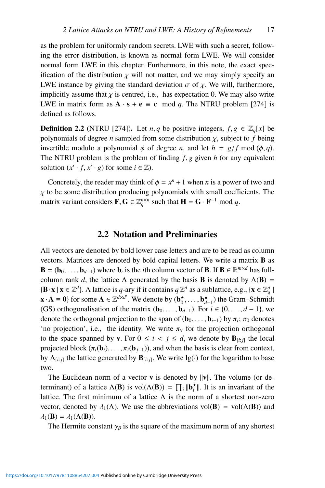as the problem for uniformly random secrets. LWE with such a secret, following the error distribution, is known as normal form LWE. We will consider normal form LWE in this chapter. Furthermore, in this note, the exact specification of the distribution  $\chi$  will not matter, and we may simply specify an LWE instance by giving the standard deviation  $\sigma$  of  $\chi$ . We will, furthermore, implicitly assume that  $\chi$  is centred, i.e., has expectation 0. We may also write LWE in matrix form as  $\mathbf{A} \cdot \mathbf{s} + \mathbf{e} \equiv \mathbf{c} \mod q$ . The NTRU problem [274] is defined as follows.

**Definition 2.2** (NTRU [274]). Let *n*, *q* be positive integers,  $f, g \in \mathbb{Z}_q[x]$  be polynomials of degree *n* sampled from some distribution  $\chi$ , subject to *f* being invertible modulo a polynomial  $\phi$  of degree *n*, and let  $h = g/f \mod{(\phi, q)}$ . The NTRU problem is the problem of finding *f*, *g* given *h* (or any equivalent solution  $(x^{i} \cdot f, x^{i} \cdot g)$  for some  $i \in \mathbb{Z}$ ).

Concretely, the reader may think of  $\phi = x^n + 1$  when *n* is a power of two and  $\chi$  to be some distribution producing polynomials with small coefficients. The matrix variant considers  $\mathbf{F}, \mathbf{G} \in \mathbb{Z}_q^{n \times n}$  such that  $\mathbf{H} = \mathbf{G} \cdot \mathbf{F}^{-1} \mod q$ .

#### 2.2 Notation and Preliminaries

All vectors are denoted by bold lower case letters and are to be read as column vectors. Matrices are denoted by bold capital letters. We write a matrix B as  $\mathbf{B} = (\mathbf{b}_0, \dots, \mathbf{b}_{d-1})$  where  $\mathbf{b}_i$  is the *i*th column vector of **B**. If  $\mathbf{B} \in \mathbb{R}^{m \times d}$  has fullcolumn rank *d*, the lattice  $\Lambda$  generated by the basis **B** is denoted by  $\Lambda$ (**B**) =  $\{\mathbf B \cdot \mathbf x \mid \mathbf x \in \mathbb Z^d\}$ . A lattice is *q*-ary if it contains *q*  $\mathbb Z^d$  as a sublattice, e.g.,  $\{\mathbf x \in \mathbb Z_q^d\}$  $\mathbf{x} \cdot \mathbf{A} \equiv \mathbf{0}$  for some  $\mathbf{A} \in \mathbb{Z}^{d \times d'}$ . We denote by  $(\mathbf{b}_0^{\star}, \dots, \mathbf{b}_{d-1}^{\star})$  the Gram–Schmidt (GS) orthogonalisation of the matrix  $(\mathbf{b}_0, \dots, \mathbf{b}_{d-1})$ . For  $i \in \{0, \dots, d-1\}$ , we denote the orthogonal projection to the span of  $(b_0, \ldots, b_{i-1})$  by  $\pi_i$ ;  $\pi_0$  denotes 'no projection', i.e., the identity. We write  $\pi_v$  for the projection orthogonal to the space spanned by **v**. For  $0 \le i \le j \le d$ , we denote by  $\mathbf{B}_{[i:j]}$  the local projected block  $(\pi_i(\mathbf{b}_i), \ldots, \pi_i(\mathbf{b}_{i-1}))$ , and when the basis is clear from context, by  $\Lambda_{[i:j]}$  the lattice generated by  $\mathbf{B}_{[i:j]}$ . We write  $\lg(\cdot)$  for the logarithm to base two.

The Euclidean norm of a vector **v** is denoted by  $||v||$ . The volume (or determinant) of a lattice  $\Lambda(B)$  is vol $(\Lambda(B)) = \prod_i ||\mathbf{b}_i^*||$ . It is an invariant of the lattice. The first minimum of a lattice  $\Lambda$  is the norm of a shortest non-zero vector, denoted by  $\lambda_1(\Lambda)$ . We use the abbreviations vol(**B**) = vol( $\Lambda$ **(B**)) and  $\lambda_1(\mathbf{B}) = \lambda_1(\Lambda(\mathbf{B})).$ 

The Hermite constant  $\gamma_\beta$  is the square of the maximum norm of any shortest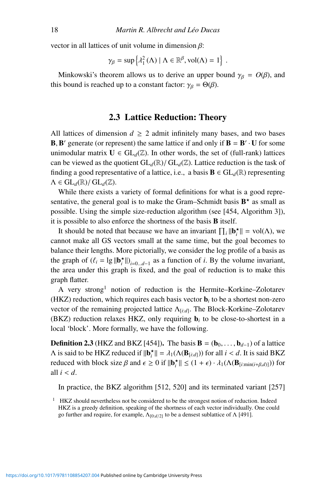vector in all lattices of unit volume in dimension  $\beta$ :

$$
\gamma_{\beta} = \sup \left\{ \lambda_1^2(\Lambda) \mid \Lambda \in \mathbb{R}^{\beta}, \mathrm{vol}(\Lambda) = 1 \right\}.
$$

Minkowski's theorem allows us to derive an upper bound  $\gamma_\beta = O(\beta)$ , and this bound is reached up to a constant factor:  $\gamma_{\beta} = \Theta(\beta)$ .

# 2.3 Lattice Reduction: Theory

All lattices of dimension  $d \geq 2$  admit infinitely many bases, and two bases **B**, **B**' generate (or represent) the same lattice if and only if  $B = B' \cdot U$  for some unimodular matrix  $U \in GL_d(\mathbb{Z})$ . In other words, the set of (full-rank) lattices can be viewed as the quotient  $GL_d(\mathbb{R})/ GL_d(\mathbb{Z})$ . Lattice reduction is the task of finding a good representative of a lattice, i.e., a basis  $\mathbf{B} \in GL_d(\mathbb{R})$  representing  $\Lambda \in GL_d(\mathbb{R})/ GL_d(\mathbb{Z})$ .

While there exists a variety of formal definitions for what is a good representative, the general goal is to make the Gram–Schmidt basis  $B^*$  as small as possible. Using the simple size-reduction algorithm (see [454, Algorithm 3]), it is possible to also enforce the shortness of the basis B itself.

It should be noted that because we have an invariant  $\prod_i ||\mathbf{b}_i^{\star}|| = \text{vol}(\Lambda)$ , we cannot make all GS vectors small at the same time, but the goal becomes to balance their lengths. More pictorially, we consider the log profile of a basis as the graph of  $(\ell_i = \lg \|\mathbf{b}_i^{\star}\|)_{i=0...d-1}$  as a function of *i*. By the volume invariant, the area under this graph is fixed, and the goal of reduction is to make this graph flatter.

A very strong1 notion of reduction is the Hermite–Korkine–Zolotarev (HKZ) reduction, which requires each basis vector  **to be a shortest non-zero** vector of the remaining projected lattice Λ[*i*:*d*]. The Block-Korkine–Zolotarev (BKZ) reduction relaxes HKZ, only requiring b*<sup>i</sup>* to be close-to-shortest in a local 'block'. More formally, we have the following.

**Definition 2.3** (HKZ and BKZ [454]). The basis  $\mathbf{B} = (\mathbf{b}_0, \dots, \mathbf{b}_{d-1})$  of a lattice A is said to be HKZ reduced if  $\|\mathbf{b}_{i}^{*}\| = \lambda_{1}(\Lambda(\mathbf{B}_{[i:d]}))$  for all  $i < d$ . It is said BKZ reduced with block size  $\beta$  and  $\epsilon \ge 0$  if  $\|\mathbf{b}_{i}^{\star}\| \le (1 + \epsilon) \cdot \lambda_1(\Lambda(\mathbf{B}_{[i:\min(i+\beta,d)]}))$  for all  $i < d$ .

In practice, the BKZ algorithm [512, 520] and its terminated variant [257]

<sup>&</sup>lt;sup>1</sup> HKZ should nevertheless not be considered to be the strongest notion of reduction. Indeed HKZ is a greedy definition, speaking of the shortness of each vector individually. One could go further and require, for example,  $Λ_{[0:d/2]}$  to be a densest sublattice of Λ [491].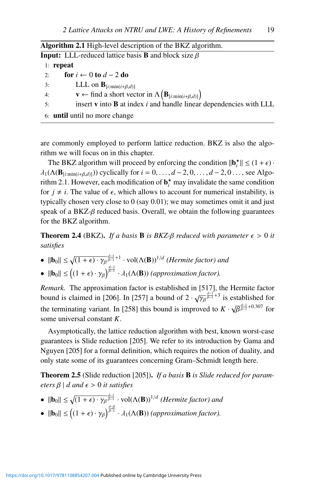Algorithm 2.1 High-level description of the BKZ algorithm.

| $\mu$ and $\mu$ and $\mu$ and $\mu$ are the set of the $\mu$ and $\mu$ and $\mu$ and $\mu$ and $\mu$                    |
|-------------------------------------------------------------------------------------------------------------------------|
| <b>Input:</b> LLL-reduced lattice basis <b>B</b> and block size $\beta$                                                 |
| $1:$ repeat                                                                                                             |
| for $i \leftarrow 0$ to $d - 2$ do<br>2:                                                                                |
| LLL on $\mathbf{B}_{[i:\min(i+\beta,d)]}$<br>3:                                                                         |
| $\mathbf{v} \leftarrow \text{find a short vector in } \Lambda\left(\mathbf{B}_{[i:\text{min}(i+\beta,d)]}\right)$<br>4: |
| insert $\bf{v}$ into $\bf{B}$ at index $i$ and handle linear dependencies with LLL<br>5:                                |
| 6: <b>until</b> until no more change                                                                                    |

are commonly employed to perform lattice reduction. BKZ is also the algorithm we will focus on in this chapter.

The BKZ algorithm will proceed by enforcing the condition  $\|\mathbf{b}_i^{\star}\| \leq (1 + \epsilon) \cdot$  $\lambda_1(\Lambda(\mathbf{B}_{[i:\min(i+\beta,d)]}))$  cyclically for  $i = 0, \ldots, d-2, 0, \ldots, d-2, 0, \ldots$ , see Algorithm 2.1. However, each modification of  $\mathbf{b}_i^*$  may invalidate the same condition for  $j \neq i$ . The value of  $\epsilon$ , which allows to account for numerical instability, is typically chosen very close to 0 (say 0.01); we may sometimes omit it and just speak of a BKZ- $\beta$  reduced basis. Overall, we obtain the following guarantees for the BKZ algorithm.

**Theorem 2.4** (BKZ). *If a basis* **B** *is BKZ-β reduced with parameter*  $\epsilon > 0$  *it satisfies*

- $||\mathbf{b}_0|| \leq \sqrt{(1+\epsilon)\cdot\gamma_{\beta}}^{\frac{d-1}{\beta-1}+1} \cdot \text{vol}(\Lambda(\mathbf{B}))^{1/d}$  *(Hermite factor) and*
- $||\mathbf{b}_0|| \leq ((1+\epsilon)\cdot \gamma_\beta)^{\frac{d-1}{\beta-1}} \cdot \lambda_1(\Lambda(\mathbf{B}))$  *(approximation factor)*.

*Remark.* The approximation factor is established in [517], the Hermite factor bound is claimed in [206]. In [257] a bound of  $2 \cdot \sqrt{\gamma_\beta}^{\frac{d-1}{\beta-1}+3}$  is established for the terminating variant. In [258] this bound is improved to  $K \cdot \sqrt{\beta^{\frac{d-1}{\beta-1}+0.307}}$  for some universal constant *K*.

Asymptotically, the lattice reduction algorithm with best, known worst-case guarantees is Slide reduction [205]. We refer to its introduction by Gama and Nguyen [205] for a formal definition, which requires the notion of duality, and only state some of its guarantees concerning Gram–Schmidt length here.

Theorem 2.5 (Slide reduction [205]). *If a basis* B *is Slide reduced for parameters*  $\beta$  | *d and*  $\epsilon$  > 0 *it satisfies* 

- $||\mathbf{b}_0|| \leq \sqrt{(1+\epsilon)\cdot\gamma_\beta}^{\frac{d-1}{\beta-1}} \cdot \text{vol}(\Lambda(\mathbf{B}))^{1/d}$  *(Hermite factor) and*
- $||\mathbf{b}_0|| \leq ((1+\epsilon)\cdot \gamma_\beta)^{\frac{d-\beta}{\beta-1}} \cdot \lambda_1(\Lambda(\mathbf{B}))$  *(approximation factor)*.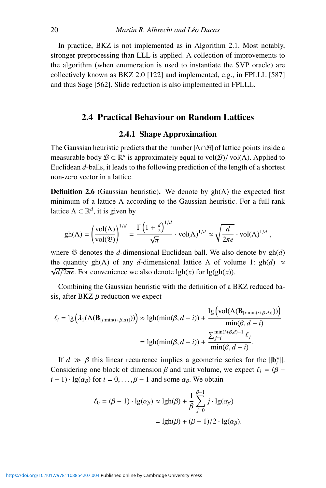In practice, BKZ is not implemented as in Algorithm 2.1. Most notably, stronger preprocessing than LLL is applied. A collection of improvements to the algorithm (when enumeration is used to instantiate the SVP oracle) are collectively known as BKZ 2.0 [122] and implemented, e.g., in FPLLL [587] and thus Sage [562]. Slide reduction is also implemented in FPLLL.

## 2.4 Practical Behaviour on Random Lattices

# 2.4.1 Shape Approximation

The Gaussian heuristic predicts that the number  $|\Lambda \cap B|$  of lattice points inside a measurable body  $\mathcal{B} \subset \mathbb{R}^n$  is approximately equal to vol $(\mathcal{B})/$  vol $(\Lambda)$ . Applied to Euclidean *d*-balls, it leads to the following prediction of the length of a shortest non-zero vector in a lattice.

**Definition 2.6** (Gaussian heuristic). We denote by  $gh(\Lambda)$  the expected first minimum of a lattice  $\Lambda$  according to the Gaussian heuristic. For a full-rank lattice  $\Lambda \subset \mathbb{R}^d$ , it is given by

$$
\mathrm{gh}(\Lambda)=\left(\frac{\mathrm{vol}(\Lambda)}{\mathrm{vol}(\mathfrak{B})}\right)^{1/d}=\frac{\Gamma\left(1+\frac{d}{2}\right)^{1/d}}{\sqrt{\pi}}\cdot \mathrm{vol}(\Lambda)^{1/d}\approx \sqrt{\frac{d}{2\pi e}}\cdot \mathrm{vol}(\Lambda)^{1/d}\;,
$$

where B denotes the *d*-dimensional Euclidean ball. We also denote by gh(*d*) the quantity gh( $\Lambda$ ) of any *d*-dimensional lattice  $\Lambda$  of volume 1: gh(*d*)  $\approx$  $\sqrt{d/2\pi}e$ . For convenience we also denote lgh(*x*) for lg(gh(*x*)).

Combining the Gaussian heuristic with the definition of a BKZ reduced basis, after BKZ- $\beta$  reduction we expect

$$
\ell_i = \lg \left( \lambda_1(\Lambda(\mathbf{B}_{[i:\min(i+\beta,d)]})) \right) \approx \lgh(\min(\beta,d-i)) + \frac{\lg \left( \text{vol}(\Lambda(\mathbf{B}_{[i:\min(i+\beta,d)]})) \right)}{\min(\beta,d-i)}
$$

$$
= \lgh(\min(\beta,d-i)) + \frac{\sum_{j=i}^{\min(i+\beta,d)-1} \ell_j}{\min(\beta,d-i)}.
$$

If  $d \gg \beta$  this linear recurrence implies a geometric series for the  $\|\mathbf{b}_i^{\star}\|$ . Considering one block of dimension  $\beta$  and unit volume, we expect  $\ell_i = (\beta - \ell)$  $i - 1$ ) · lg( $\alpha_B$ ) for  $i = 0, \ldots, \beta - 1$  and some  $\alpha_B$ . We obtain

$$
\ell_0 = (\beta - 1) \cdot \lg(\alpha_\beta) \approx \lgh(\beta) + \frac{1}{\beta} \sum_{j=0}^{\beta - 1} j \cdot \lg(\alpha_\beta)
$$

$$
= \lgh(\beta) + (\beta - 1)/2 \cdot \lg(\alpha_\beta).
$$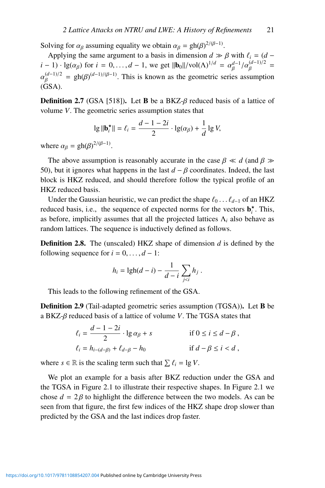Solving for  $\alpha_{\beta}$  assuming equality we obtain  $\alpha_{\beta} = gh(\beta)^{2/(\beta-1)}$ .

Applying the same argument to a basis in dimension  $d \gg \beta$  with  $\ell_i = (d - \beta)^{i/2}$  $i-1) \cdot \lg(\alpha_\beta)$  for  $i = 0, ..., d-1$ , we get  $\|\mathbf{b}_0\|/vol(\Lambda)^{1/d} = \alpha_\beta^{d-1}/\alpha_\beta^{(d-1)/2}$  $\alpha_{\beta}^{(d-1)/2} = gh(\beta)^{(d-1)/(\beta-1)}$ . This is known as the geometric series assumption (GSA).

**Definition 2.7** (GSA [518]). Let **B** be a BKZ- $\beta$  reduced basis of a lattice of volume *V*. The geometric series assumption states that

$$
\lg \|\mathbf{b}_i^\star\| = \ell_i = \frac{d-1-2i}{2} \cdot \lg(\alpha_\beta) + \frac{1}{d} \lg V,
$$

where  $\alpha_{\beta} = gh(\beta)^{2/(\beta-1)}$ .

The above assumption is reasonably accurate in the case  $\beta \ll d$  (and  $\beta \gg d$ 50), but it ignores what happens in the last  $d - \beta$  coordinates. Indeed, the last block is HKZ reduced, and should therefore follow the typical profile of an HKZ reduced basis.

Under the Gaussian heuristic, we can predict the shape  $\ell_0 \dots \ell_{d-1}$  of an HKZ reduced basis, i.e., the sequence of expected norms for the vectors  $\mathbf{b}_i^{\star}$ . This, as before, implicitly assumes that all the projected lattices  $\Lambda_i$  also behave as random lattices. The sequence is inductively defined as follows.

Definition 2.8. The (unscaled) HKZ shape of dimension *d* is defined by the following sequence for  $i = 0, \ldots, d - 1$ :

$$
h_i = \text{lgh}(d-i) - \frac{1}{d-i} \sum_{j
$$

This leads to the following refinement of the GSA.

Definition 2.9 (Tail-adapted geometric series assumption (TGSA)). Let B be a BKZ-β reduced basis of a lattice of volume *V*. The TGSA states that

$$
\ell_i = \frac{d-1-2i}{2} \cdot \lg \alpha_{\beta} + s \qquad \text{if } 0 \le i \le d-\beta ,
$$
  

$$
\ell_i = h_{i-(d-\beta)} + \ell_{d-\beta} - h_0 \qquad \text{if } d-\beta \le i < d ,
$$

where  $s \in \mathbb{R}$  is the scaling term such that  $\sum \ell_i = \lg V$ .

We plot an example for a basis after BKZ reduction under the GSA and the TGSA in Figure 2.1 to illustrate their respective shapes. In Figure 2.1 we chose  $d = 2\beta$  to highlight the difference between the two models. As can be seen from that figure, the first few indices of the HKZ shape drop slower than predicted by the GSA and the last indices drop faster.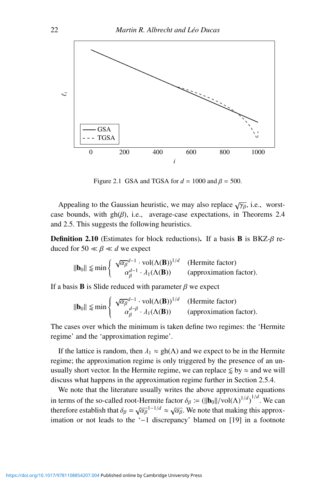

Figure 2.1 GSA and TGSA for  $d = 1000$  and  $\beta = 500$ .

Appealing to the Gaussian heuristic, we may also replace  $\sqrt{\gamma_{\beta}}$ , i.e., worstcase bounds, with gh $(\beta)$ , i.e., average-case expectations, in Theorems 2.4 and 2.5. This suggests the following heuristics.

**Definition 2.10** (Estimates for block reductions). If a basis **B** is  $B KZ-\beta$  reduced for  $50 \ll \beta \ll d$  we expect

$$
\|\mathbf{b}_0\| \lessapprox \min \left\{ \begin{array}{cl} \sqrt{\alpha_\beta}^{d-1} \cdot \text{vol}(\Lambda(\mathbf{B}))^{1/d} & \text{(Hermite factor)}\\ \alpha_\beta^{d-1} \cdot \lambda_1(\Lambda(\mathbf{B})) & \text{(approximation factor)} \end{array} \right.
$$

If a basis **B** is Slide reduced with parameter  $\beta$  we expect

$$
\|\mathbf{b}_0\| \lessapprox \min \left\{ \begin{array}{cl} \sqrt{\alpha_\beta}^{d-1} \cdot \text{vol}(\Lambda(\mathbf{B}))^{1/d} & \text{(Hermite factor)}\\ \alpha_\beta^{d-\beta} \cdot \lambda_1(\Lambda(\mathbf{B})) & \text{(approximation factor)} \end{array} \right.
$$

The cases over which the minimum is taken define two regimes: the 'Hermite regime' and the 'approximation regime'.

If the lattice is random, then  $\lambda_1 \approx gh(\Lambda)$  and we expect to be in the Hermite regime; the approximation regime is only triggered by the presence of an unusually short vector. In the Hermite regime, we can replace  $\lessapprox$  by  $\approx$  and we will discuss what happens in the approximation regime further in Section 2.5.4.

We note that the literature usually writes the above approximate equations in terms of the so-called root-Hermite factor  $\delta_{\beta} \coloneqq (||\mathbf{b}_0||/\text{vol}(\Lambda)^{1/d})^{1/d}$ . We can therefore establish that  $\delta_{\beta} = \sqrt{\alpha_{\beta}}^{1-1/d} \approx \sqrt{\alpha_{\beta}}$ . We note that making this approximation or not leads to the '−1 discrepancy' blamed on [19] in a footnote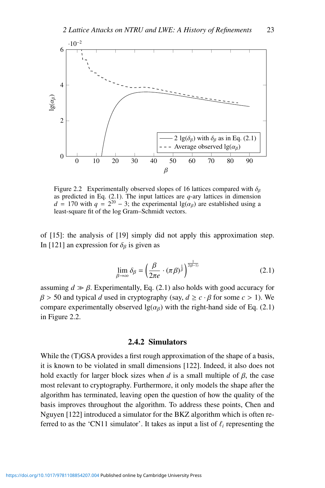

Figure 2.2 Experimentally observed slopes of 16 lattices compared with  $\delta_{\beta}$ as predicted in Eq. (2.1). The input lattices are *q*-ary lattices in dimension *d* = 170 with  $q = 2^{20} - 3$ ; the experimental lg( $\alpha_{\beta}$ ) are established using a least-square fit of the log Gram–Schmidt vectors.

of [15]: the analysis of [19] simply did not apply this approximation step. In [121] an expression for  $\delta_{\beta}$  is given as

$$
\lim_{\beta \to \infty} \delta_{\beta} = \left(\frac{\beta}{2\pi e} \cdot (\pi \beta)^{\frac{1}{\beta}}\right)^{\frac{1}{2(\beta-1)}} \tag{2.1}
$$

assuming  $d \gg \beta$ . Experimentally, Eq. (2.1) also holds with good accuracy for  $β > 50$  and typical *d* used in cryptography (say,  $d \ge c \cdot β$  for some  $c > 1$ ). We compare experimentally observed  $\lg(\alpha_\beta)$  with the right-hand side of Eq. (2.1) in Figure 2.2.

#### 2.4.2 Simulators

While the (T)GSA provides a first rough approximation of the shape of a basis, it is known to be violated in small dimensions [122]. Indeed, it also does not hold exactly for larger block sizes when *d* is a small multiple of  $\beta$ , the case most relevant to cryptography. Furthermore, it only models the shape after the algorithm has terminated, leaving open the question of how the quality of the basis improves throughout the algorithm. To address these points, Chen and Nguyen [122] introduced a simulator for the BKZ algorithm which is often referred to as the 'CN11 simulator'. It takes as input a list of  $\ell_i$  representing the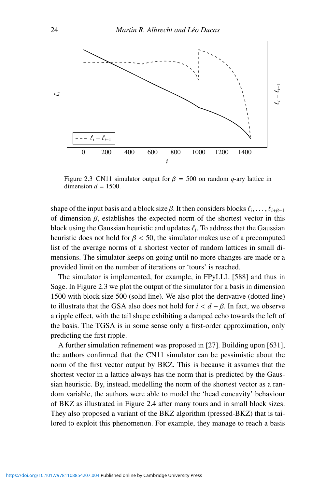

Figure 2.3 CN11 simulator output for  $\beta = 500$  on random *q*-ary lattice in dimension  $d = 1500$ .

shape of the input basis and a block size  $\beta$ . It then considers blocks  $\ell_i, \ldots, \ell_{i+\beta-1}$ of dimension  $\beta$ , establishes the expected norm of the shortest vector in this block using the Gaussian heuristic and updates  $\ell_i$ . To address that the Gaussian heuristic does not hold for  $\beta$  < 50, the simulator makes use of a precomputed list of the average norms of a shortest vector of random lattices in small dimensions. The simulator keeps on going until no more changes are made or a provided limit on the number of iterations or 'tours' is reached.

The simulator is implemented, for example, in FPyLLL [588] and thus in Sage. In Figure 2.3 we plot the output of the simulator for a basis in dimension 1500 with block size 500 (solid line). We also plot the derivative (dotted line) to illustrate that the GSA also does not hold for *i* < *d* − β. In fact, we observe a ripple effect, with the tail shape exhibiting a damped echo towards the left of the basis. The TGSA is in some sense only a first-order approximation, only predicting the first ripple.

A further simulation refinement was proposed in [27]. Building upon [631], the authors confirmed that the CN11 simulator can be pessimistic about the norm of the first vector output by BKZ. This is because it assumes that the shortest vector in a lattice always has the norm that is predicted by the Gaussian heuristic. By, instead, modelling the norm of the shortest vector as a random variable, the authors were able to model the 'head concavity' behaviour of BKZ as illustrated in Figure 2.4 after many tours and in small block sizes. They also proposed a variant of the BKZ algorithm (pressed-BKZ) that is tailored to exploit this phenomenon. For example, they manage to reach a basis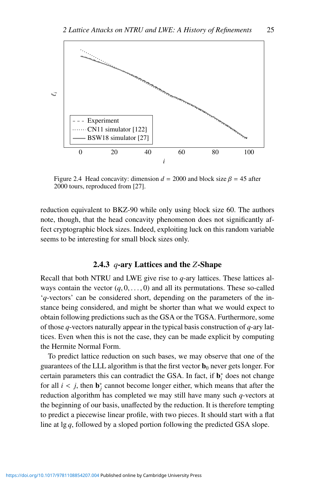

Figure 2.4 Head concavity: dimension  $d = 2000$  and block size  $\beta = 45$  after 2000 tours, reproduced from [27].

reduction equivalent to BKZ-90 while only using block size 60. The authors note, though, that the head concavity phenomenon does not significantly affect cryptographic block sizes. Indeed, exploiting luck on this random variable seems to be interesting for small block sizes only.

## 2.4.3 *q*-ary Lattices and the *Z*-Shape

Recall that both NTRU and LWE give rise to *q*-ary lattices. These lattices always contain the vector  $(q, 0, \ldots, 0)$  and all its permutations. These so-called '*q*-vectors' can be considered short, depending on the parameters of the instance being considered, and might be shorter than what we would expect to obtain following predictions such as the GSA or the TGSA. Furthermore, some of those *q*-vectors naturally appear in the typical basis construction of *q*-ary lattices. Even when this is not the case, they can be made explicit by computing the Hermite Normal Form.

To predict lattice reduction on such bases, we may observe that one of the guarantees of the LLL algorithm is that the first vector  $\mathbf{b}_0$  never gets longer. For certain parameters this can contradict the GSA. In fact, if b<sup>∗</sup> *<sup>i</sup>* does not change for all  $i < j$ , then  $\mathbf{b}^*_j$  cannot become longer either, which means that after the reduction algorithm has completed we may still have many such *q*-vectors at the beginning of our basis, unaffected by the reduction. It is therefore tempting to predict a piecewise linear profile, with two pieces. It should start with a flat line at lg *q*, followed by a sloped portion following the predicted GSA slope.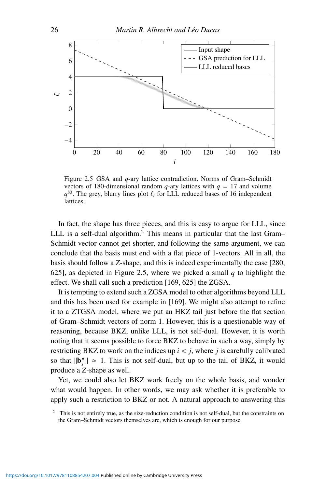

Figure 2.5 GSA and *q*-ary lattice contradiction. Norms of Gram–Schmidt vectors of 180-dimensional random  $q$ -ary lattices with  $q = 17$  and volume  $q^{80}$ . The grey, blurry lines plot  $\ell_i$  for LLL reduced bases of 16 independent lattices.

In fact, the shape has three pieces, and this is easy to argue for LLL, since LLL is a self-dual algorithm.<sup>2</sup> This means in particular that the last Gram– Schmidt vector cannot get shorter, and following the same argument, we can conclude that the basis must end with a flat piece of 1-vectors. All in all, the basis should follow a *Z*-shape, and this is indeed experimentally the case [280, 625], as depicted in Figure 2.5, where we picked a small *q* to highlight the effect. We shall call such a prediction [169, 625] the ZGSA.

It is tempting to extend such a ZGSA model to other algorithms beyond LLL and this has been used for example in [169]. We might also attempt to refine it to a ZTGSA model, where we put an HKZ tail just before the flat section of Gram–Schmidt vectors of norm 1. However, this is a questionable way of reasoning, because BKZ, unlike LLL, is not self-dual. However, it is worth noting that it seems possible to force BKZ to behave in such a way, simply by restricting BKZ to work on the indices up *i* < *j*, where *j* is carefully calibrated so that  $\|\mathbf{b}_j^{\star}\| \approx 1$ . This is not self-dual, but up to the tail of BKZ, it would produce a *Z*-shape as well.

Yet, we could also let BKZ work freely on the whole basis, and wonder what would happen. In other words, we may ask whether it is preferable to apply such a restriction to BKZ or not. A natural approach to answering this

 $2$  This is not entirely true, as the size-reduction condition is not self-dual, but the constraints on the Gram–Schmidt vectors themselves are, which is enough for our purpose.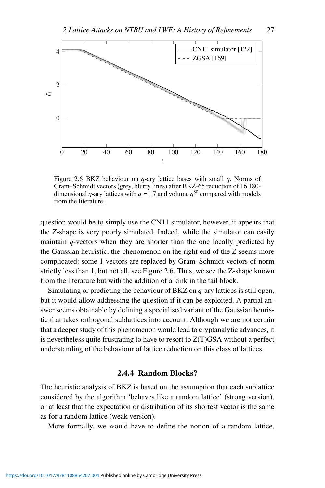

Figure 2.6 BKZ behaviour on *q*-ary lattice bases with small *q*. Norms of Gram–Schmidt vectors (grey, blurry lines) after BKZ-65 reduction of 16 180 dimensional *q*-ary lattices with  $q = 17$  and volume  $q^{80}$  compared with models from the literature.

question would be to simply use the CN11 simulator, however, it appears that the *Z*-shape is very poorly simulated. Indeed, while the simulator can easily maintain *q*-vectors when they are shorter than the one locally predicted by the Gaussian heuristic, the phenomenon on the right end of the *Z* seems more complicated: some 1-vectors are replaced by Gram–Schmidt vectors of norm strictly less than 1, but not all, see Figure 2.6. Thus, we see the Z-shape known from the literature but with the addition of a kink in the tail block.

Simulating or predicting the behaviour of BKZ on *q*-ary lattices is still open, but it would allow addressing the question if it can be exploited. A partial answer seems obtainable by defining a specialised variant of the Gaussian heuristic that takes orthogonal sublattices into account. Although we are not certain that a deeper study of this phenomenon would lead to cryptanalytic advances, it is nevertheless quite frustrating to have to resort to Z(T)GSA without a perfect understanding of the behaviour of lattice reduction on this class of lattices.

## 2.4.4 Random Blocks?

The heuristic analysis of BKZ is based on the assumption that each sublattice considered by the algorithm 'behaves like a random lattice' (strong version), or at least that the expectation or distribution of its shortest vector is the same as for a random lattice (weak version).

More formally, we would have to define the notion of a random lattice,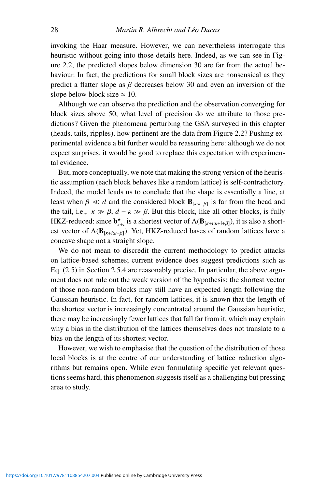invoking the Haar measure. However, we can nevertheless interrogate this heuristic without going into those details here. Indeed, as we can see in Figure 2.2, the predicted slopes below dimension 30 are far from the actual behaviour. In fact, the predictions for small block sizes are nonsensical as they predict a flatter slope as  $\beta$  decreases below 30 and even an inversion of the slope below block size  $\approx 10$ .

Although we can observe the prediction and the observation converging for block sizes above 50, what level of precision do we attribute to those predictions? Given the phenomena perturbing the GSA surveyed in this chapter (heads, tails, ripples), how pertinent are the data from Figure 2.2? Pushing experimental evidence a bit further would be reassuring here: although we do not expect surprises, it would be good to replace this expectation with experimental evidence.

But, more conceptually, we note that making the strong version of the heuristic assumption (each block behaves like a random lattice) is self-contradictory. Indeed, the model leads us to conclude that the shape is essentially a line, at least when  $\beta \ll d$  and the considered block  $\mathbf{B}_{\lceil \kappa : \kappa + \beta \rceil}$  is far from the head and the tail, i.e.,  $\kappa \gg \beta$ ,  $d - \kappa \gg \beta$ . But this block, like all other blocks, is fully HKZ-reduced: since  $\mathbf{b}_{k+i}^{\star}$  is a shortest vector of  $\Lambda(\mathbf{B}_{[k+i:k+i+\beta]}),$  it is also a shortest vector of  $\Lambda(\mathbf{B}_{\lceil k+i:k+\beta \rceil})$ . Yet, HKZ-reduced bases of random lattices have a concave shape not a straight slope.

We do not mean to discredit the current methodology to predict attacks on lattice-based schemes; current evidence does suggest predictions such as Eq. (2.5) in Section 2.5.4 are reasonably precise. In particular, the above argument does not rule out the weak version of the hypothesis: the shortest vector of those non-random blocks may still have an expected length following the Gaussian heuristic. In fact, for random lattices, it is known that the length of the shortest vector is increasingly concentrated around the Gaussian heuristic; there may be increasingly fewer lattices that fall far from it, which may explain why a bias in the distribution of the lattices themselves does not translate to a bias on the length of its shortest vector.

However, we wish to emphasise that the question of the distribution of those local blocks is at the centre of our understanding of lattice reduction algorithms but remains open. While even formulating specific yet relevant questions seems hard, this phenomenon suggests itself as a challenging but pressing area to study.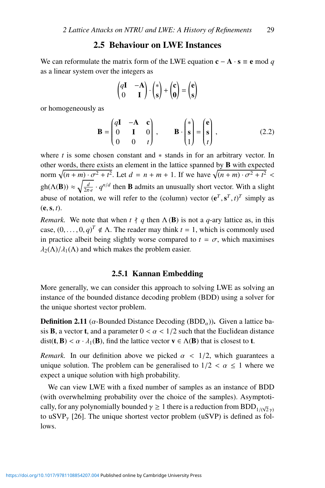# 2.5 Behaviour on LWE Instances

We can reformulate the matrix form of the LWE equation  $c - A \cdot s \equiv e \mod q$ as a linear system over the integers as

$$
\begin{pmatrix} q\mathbf{I} & -\mathbf{A} \\ 0 & \mathbf{I} \end{pmatrix} \cdot \begin{pmatrix} * \\ s \end{pmatrix} + \begin{pmatrix} c \\ 0 \end{pmatrix} = \begin{pmatrix} e \\ s \end{pmatrix}
$$

or homogeneously as

$$
\mathbf{B} = \begin{pmatrix} q\mathbf{I} & -\mathbf{A} & \mathbf{c} \\ 0 & \mathbf{I} & 0 \\ 0 & 0 & t \end{pmatrix}, \qquad \mathbf{B} \cdot \begin{pmatrix} * \\ s \\ 1 \end{pmatrix} = \begin{pmatrix} \mathbf{e} \\ \mathbf{s} \\ t \end{pmatrix}, \tag{2.2}
$$

where *t* is some chosen constant and ∗ stands in for an arbitrary vector. In other words, there exists an element in the lattice spanned by B with expected norm  $\sqrt{(n+m)\cdot\sigma^2+t^2}$ . Let  $d = n+m+1$ . If we have  $\sqrt{(n+m)\cdot\sigma^2+t^2}$ gh( $\Lambda$ (**B**))  $\approx \sqrt{\frac{d}{2\pi e}} \cdot q^{n/d}$  then **B** admits an unusually short vector. With a slight abuse of notation, we will refer to the (column) vector  $(e^T, s^T, t)^T$  simply as  $(e, s, t)$ .

*Remark.* We note that when  $t \nmid q$  then  $\Lambda$  (**B**) is not a *q*-ary lattice as, in this case,  $(0, \ldots, 0, q)^T \notin \Lambda$ . The reader may think  $t = 1$ , which is commonly used in practice albeit being slightly worse compared to  $t = \sigma$ , which maximises  $\lambda_2(\Lambda)/\lambda_1(\Lambda)$  and which makes the problem easier.

#### 2.5.1 Kannan Embedding

More generally, we can consider this approach to solving LWE as solving an instance of the bounded distance decoding problem (BDD) using a solver for the unique shortest vector problem.

**Definition 2.11** ( $\alpha$ -Bounded Distance Decoding (BDD $_{\alpha}$ )). Given a lattice basis **B**, a vector **t**, and a parameter  $0 < \alpha < 1/2$  such that the Euclidean distance  $dist(t, B) < \alpha \cdot \lambda_1(B)$ , find the lattice vector  $v \in \Lambda(B)$  that is closest to **t**.

*Remark.* In our definition above we picked  $\alpha$  < 1/2, which guarantees a unique solution. The problem can be generalised to  $1/2 < \alpha \leq 1$  where we expect a unique solution with high probability.

We can view LWE with a fixed number of samples as an instance of BDD (with overwhelming probability over the choice of the samples). Asymptotically, for any polynomially bounded  $\gamma \ge 1$  there is a reduction from  $\text{BDD}_{1/(\sqrt{2}\gamma)}$ to uSVP<sub> $\gamma$ </sub> [26]. The unique shortest vector problem (uSVP) is defined as follows.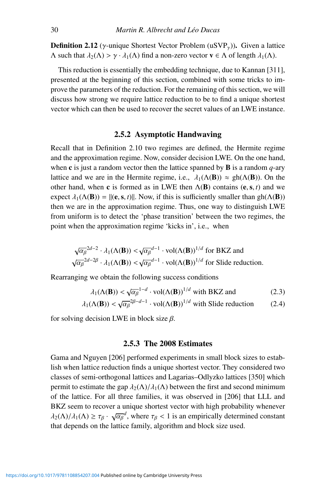**Definition 2.12** ( $\gamma$ -unique Shortest Vector Problem (uSVP<sub> $\gamma$ </sub>)). Given a lattice  $Λ$  such that  $λ_2(Λ) > γ ⋅ λ_1(Λ)$  find a non-zero vector **v** ∈ Λ of length  $λ_1(Λ)$ .

This reduction is essentially the embedding technique, due to Kannan [311], presented at the beginning of this section, combined with some tricks to improve the parameters of the reduction. For the remaining of this section, we will discuss how strong we require lattice reduction to be to find a unique shortest vector which can then be used to recover the secret values of an LWE instance.

## 2.5.2 Asymptotic Handwaving

Recall that in Definition 2.10 two regimes are defined, the Hermite regime and the approximation regime. Now, consider decision LWE. On the one hand, when  $\bf{c}$  is just a random vector then the lattice spanned by  $\bf{B}$  is a random  $q$ -ary lattice and we are in the Hermite regime, i.e.,  $\lambda_1(\Lambda(\mathbf{B})) \approx \text{gh}(\Lambda(\mathbf{B}))$ . On the other hand, when c is formed as in LWE then  $\Lambda$ (B) contains (e, s, *t*) and we expect  $\lambda_1(\Lambda(\mathbf{B})) = ||(\mathbf{e}, \mathbf{s}, t)||$ . Now, if this is sufficiently smaller than gh( $\Lambda(\mathbf{B})$ ) then we are in the approximation regime. Thus, one way to distinguish LWE from uniform is to detect the 'phase transition' between the two regimes, the point when the approximation regime 'kicks in', i.e., when

$$
\sqrt{\alpha_{\beta}}^{2d-2} \cdot \lambda_1(\Lambda(\mathbf{B})) < \sqrt{\alpha_{\beta}}^{d-1} \cdot \text{vol}(\Lambda(\mathbf{B}))^{1/d} \text{ for BKZ and}
$$
\n
$$
\sqrt{\alpha_{\beta}}^{2d-2\beta} \cdot \lambda_1(\Lambda(\mathbf{B})) < \sqrt{\alpha_{\beta}}^{d-1} \cdot \text{vol}(\Lambda(\mathbf{B}))^{1/d} \text{ for S} \text{ and the reduction.}
$$

Rearranging we obtain the following success conditions

$$
\lambda_1(\Lambda(\mathbf{B})) < \sqrt{\alpha_\beta}^{1-d} \cdot \text{vol}(\Lambda(\mathbf{B}))^{1/d} \text{ with BKZ and} \tag{2.3}
$$

$$
\lambda_1(\Lambda(\mathbf{B})) < \sqrt{\alpha_\beta}^{2\beta - d - 1} \cdot \text{vol}(\Lambda(\mathbf{B}))^{1/d} \text{ with slide reduction} \tag{2.4}
$$

for solving decision LWE in block size  $\beta$ .

#### 2.5.3 The 2008 Estimates

Gama and Nguyen [206] performed experiments in small block sizes to establish when lattice reduction finds a unique shortest vector. They considered two classes of semi-orthogonal lattices and Lagarias–Odlyzko lattices [350] which permit to estimate the gap  $\lambda_2(\Lambda)/\lambda_1(\Lambda)$  between the first and second minimum of the lattice. For all three families, it was observed in [206] that LLL and BKZ seem to recover a unique shortest vector with high probability whenever  $\lambda_2(\Lambda)/\lambda_1(\Lambda) \ge \tau_\beta \cdot \sqrt{\alpha_\beta}^d$ , where  $\tau_\beta < 1$  is an empirically determined constant that depends on the lattice family, algorithm and block size used.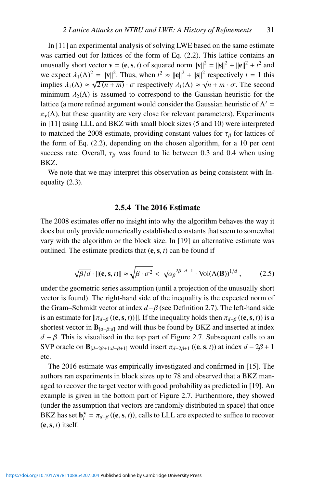In [11] an experimental analysis of solving LWE based on the same estimate was carried out for lattices of the form of Eq. (2.2). This lattice contains an unusually short vector **v** = (**e**, **s**, *t*) of squared norm  $||\mathbf{v}||^2 = ||\mathbf{s}||^2 + ||\mathbf{e}||^2 + t^2$  and we expect  $\lambda_1(\Lambda)^2 = ||\mathbf{v}||^2$ . Thus, when  $t^2 \approx ||\mathbf{e}||^2 + ||\mathbf{s}||^2$  respectively  $t = 1$  this implies  $\lambda_1(\Lambda) \approx \sqrt{2(n+m)} \cdot \sigma$  respectively  $\lambda_1(\Lambda) \approx \sqrt{n+m} \cdot \sigma$ . The second minimum  $\lambda_2(\Lambda)$  is assumed to correspond to the Gaussian heuristic for the lattice (a more refined argument would consider the Gaussian heuristic of  $\Lambda'$  =  $\pi_{\mathbf{v}}(\Lambda)$ , but these quantity are very close for relevant parameters). Experiments in [11] using LLL and BKZ with small block sizes (5 and 10) were interpreted to matched the 2008 estimate, providing constant values for  $\tau_\beta$  for lattices of the form of Eq. (2.2), depending on the chosen algorithm, for a 10 per cent success rate. Overall,  $\tau_B$  was found to lie between 0.3 and 0.4 when using BKZ.

We note that we may interpret this observation as being consistent with Inequality (2.3).

#### 2.5.4 The 2016 Estimate

The 2008 estimates offer no insight into why the algorithm behaves the way it does but only provide numerically established constants that seem to somewhat vary with the algorithm or the block size. In [19] an alternative estimate was outlined. The estimate predicts that  $(e, s, t)$  can be found if

$$
\sqrt{\beta/d} \cdot ||(\mathbf{e}, \mathbf{s}, t)|| \approx \sqrt{\beta \cdot \sigma^2} < \sqrt{\alpha_\beta}^{2\beta - d - 1} \cdot \text{Vol}(\Lambda(\mathbf{B}))^{1/d} \,, \tag{2.5}
$$

under the geometric series assumption (until a projection of the unusually short vector is found). The right-hand side of the inequality is the expected norm of the Gram–Schmidt vector at index *d*−β (see Definition 2.7). The left-hand side is an estimate for  $\|\pi_{d-\beta}((e, s, t))\|$ . If the inequality holds then  $\pi_{d-\beta}((e, s, t))$  is a shortest vector in  $\mathbf{B}_{[d-\beta:d]}$  and will thus be found by BKZ and inserted at index  $d - \beta$ . This is visualised in the top part of Figure 2.7. Subsequent calls to an SVP oracle on  $\mathbf{B}_{[d-2\beta+1:d-\beta+1]}$  would insert  $\pi_{d-2\beta+1}$  ((e, s, *t*)) at index  $d-2\beta+1$ etc.

The 2016 estimate was empirically investigated and confirmed in [15]. The authors ran experiments in block sizes up to 78 and observed that a BKZ managed to recover the target vector with good probability as predicted in [19]. An example is given in the bottom part of Figure 2.7. Furthermore, they showed (under the assumption that vectors are randomly distributed in space) that once BKZ has set  $\mathbf{b}_i^* = \pi_{d-\beta}((\mathbf{e}, \mathbf{s}, t))$ , calls to LLL are expected to suffice to recover  $(e, s, t)$  itself.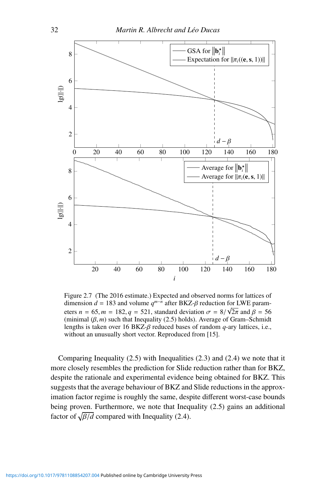

Figure 2.7 (The 2016 estimate.) Expected and observed norms for lattices of dimension  $d = 183$  and volume  $q^{m-n}$  after BKZ- $\beta$  reduction for LWE parameters  $n = 65$ ,  $m = 182$ ,  $q = 521$ , standard deviation  $\sigma = 8/\sqrt{2\pi}$  and  $\beta = 56$ (minimal  $(\beta, m)$  such that Inequality (2.5) holds). Average of Gram–Schmidt lengths is taken over 16 BKZ-β reduced bases of random *q*-ary lattices, i.e., without an unusually short vector. Reproduced from [15].

Comparing Inequality (2.5) with Inequalities (2.3) and (2.4) we note that it more closely resembles the prediction for Slide reduction rather than for BKZ, despite the rationale and experimental evidence being obtained for BKZ. This suggests that the average behaviour of BKZ and Slide reductions in the approximation factor regime is roughly the same, despite different worst-case bounds being proven. Furthermore, we note that Inequality (2.5) gains an additional factor of  $\sqrt{\beta/d}$  compared with Inequality (2.4).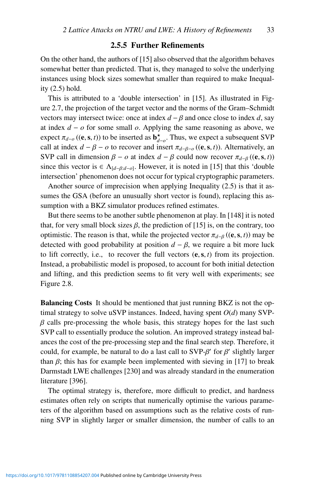## 2.5.5 Further Refinements

On the other hand, the authors of [15] also observed that the algorithm behaves somewhat better than predicted. That is, they managed to solve the underlying instances using block sizes somewhat smaller than required to make Inequality (2.5) hold.

This is attributed to a 'double intersection' in [15]. As illustrated in Figure 2.7, the projection of the target vector and the norms of the Gram–Schmidt vectors may intersect twice: once at index  $d - \beta$  and once close to index *d*, say at index *d* − *o* for some small *o*. Applying the same reasoning as above, we expect  $\pi_{d-o}$  ((e, s, *t*)) to be inserted as  $\mathbf{b}^{\star}_{d-o}$ . Thus, we expect a subsequent SVP call at index  $d - \beta - o$  to recover and insert  $\pi_{d-\beta-o}((e, s, t))$ . Alternatively, an SVP call in dimension  $\beta - \rho$  at index  $d - \beta$  could now recover  $\pi_{d-\beta}$  ((e, s, *t*)) since this vector is  $\in \Lambda_{[d-\beta:d-o]}$ . However, it is noted in [15] that this 'double intersection' phenomenon does not occur for typical cryptographic parameters.

Another source of imprecision when applying Inequality (2.5) is that it assumes the GSA (before an unusually short vector is found), replacing this assumption with a BKZ simulator produces refined estimates.

But there seems to be another subtle phenomenon at play. In [148] it is noted that, for very small block sizes  $\beta$ , the prediction of [15] is, on the contrary, too optimistic. The reason is that, while the projected vector  $\pi_{d-\beta}$  ((e, s, *t*)) may be detected with good probability at position  $d - \beta$ , we require a bit more luck to lift correctly, i.e., to recover the full vectors (e,s, *t*) from its projection. Instead, a probabilistic model is proposed, to account for both initial detection and lifting, and this prediction seems to fit very well with experiments; see Figure 2.8.

Balancing Costs It should be mentioned that just running BKZ is not the optimal strategy to solve uSVP instances. Indeed, having spent *O*(*d*) many SVP- $\beta$  calls pre-processing the whole basis, this strategy hopes for the last such SVP call to essentially produce the solution. An improved strategy instead balances the cost of the pre-processing step and the final search step. Therefore, it could, for example, be natural to do a last call to  $SVP-\beta'$  for  $\beta'$  slightly larger than  $\beta$ ; this has for example been implemented with sieving in [17] to break Darmstadt LWE challenges [230] and was already standard in the enumeration literature [396].

The optimal strategy is, therefore, more difficult to predict, and hardness estimates often rely on scripts that numerically optimise the various parameters of the algorithm based on assumptions such as the relative costs of running SVP in slightly larger or smaller dimension, the number of calls to an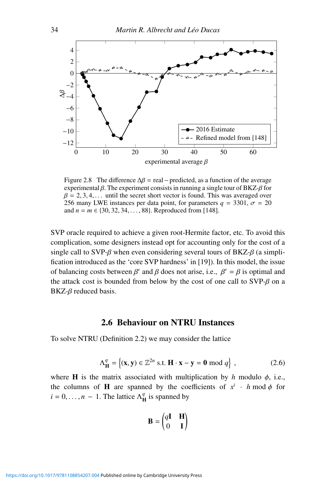

Figure 2.8 The difference  $\Delta \beta$  = real – predicted, as a function of the average experimental  $\beta$ . The experiment consists in running a single tour of BKZ- $\beta$  for  $\beta = 2, 3, 4, \ldots$  until the secret short vector is found. This was averaged over 256 many LWE instances per data point, for parameters  $q = 3301$ ,  $\sigma = 20$ and  $n = m \in \{30, 32, 34, \ldots, 88\}$ . Reproduced from [148].

SVP oracle required to achieve a given root-Hermite factor, etc. To avoid this complication, some designers instead opt for accounting only for the cost of a single call to SVP- $\beta$  when even considering several tours of BKZ- $\beta$  (a simplification introduced as the 'core SVP hardness' in [19]). In this model, the issue of balancing costs between  $\beta'$  and  $\beta$  does not arise, i.e.,  $\beta' = \beta$  is optimal and the attack cost is bounded from below by the cost of one call to  $SVP-\beta$  on a  $B KZ - \beta$  reduced basis.

# 2.6 Behaviour on NTRU Instances

To solve NTRU (Definition 2.2) we may consider the lattice

$$
\Lambda_{\mathbf{H}}^{q} = \left\{ (\mathbf{x}, \mathbf{y}) \in \mathbb{Z}^{2n} \text{ s.t. } \mathbf{H} \cdot \mathbf{x} - \mathbf{y} = \mathbf{0} \bmod q \right\},\tag{2.6}
$$

where **H** is the matrix associated with multiplication by *h* modulo  $\phi$ , i.e., the columns of **H** are spanned by the coefficients of  $x^i$  · *h* mod  $\phi$  for  $i = 0, \dots, n - 1$ . The lattice  $\Lambda_H^q$  is spanned by

$$
\mathbf{B} = \begin{pmatrix} q\mathbf{I} & \mathbf{H} \\ 0 & \mathbf{I} \end{pmatrix}
$$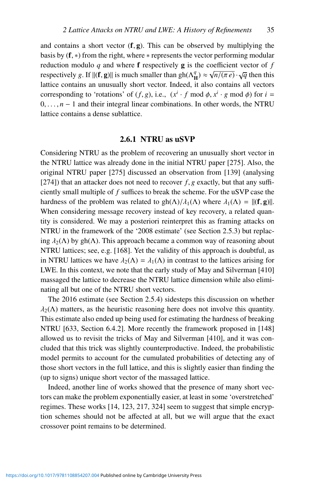and contains a short vector  $(f, g)$ . This can be observed by multiplying the basis by  $(f, *)$  from the right, where  $*$  represents the vector performing modular reduction modulo  $q$  and where  $f$  respectively  $g$  is the coefficient vector of  $f$ respectively *g*. If  $\|(f, g)\|$  is much smaller than  $gh(\Lambda_H^q) \approx \sqrt{n/(\pi e)} \cdot \sqrt{q}$  then this lattice contains an unusually short vector. Indeed, it also contains all vectors corresponding to 'rotations' of  $(f, g)$ , i.e.,  $(x<sup>i</sup> \cdot f \mod \phi, x<sup>i</sup> \cdot g \mod \phi)$  for  $i =$ 0,..., *n* − 1 and their integral linear combinations. In other words, the NTRU lattice contains a dense sublattice.

#### 2.6.1 NTRU as uSVP

Considering NTRU as the problem of recovering an unusually short vector in the NTRU lattice was already done in the initial NTRU paper [275]. Also, the original NTRU paper [275] discussed an observation from [139] (analysing [274]) that an attacker does not need to recover  $f$ ,  $g$  exactly, but that any sufficiently small multiple of *f* suffices to break the scheme. For the uSVP case the hardness of the problem was related to gh( $\Lambda$ )/ $\lambda_1(\Lambda)$  where  $\lambda_1(\Lambda) = ||(\mathbf{f}, \mathbf{g})||$ . When considering message recovery instead of key recovery, a related quantity is considered. We may a posteriori reinterpret this as framing attacks on NTRU in the framework of the '2008 estimate' (see Section 2.5.3) but replacing  $\lambda_2(\Lambda)$  by gh( $\Lambda$ ). This approach became a common way of reasoning about NTRU lattices; see, e.g. [168]. Yet the validity of this approach is doubtful, as in NTRU lattices we have  $\lambda_2(\Lambda) = \lambda_1(\Lambda)$  in contrast to the lattices arising for LWE. In this context, we note that the early study of May and Silverman [410] massaged the lattice to decrease the NTRU lattice dimension while also eliminating all but one of the NTRU short vectors.

The 2016 estimate (see Section 2.5.4) sidesteps this discussion on whether  $\lambda_2(\Lambda)$  matters, as the heuristic reasoning here does not involve this quantity. This estimate also ended up being used for estimating the hardness of breaking NTRU [633, Section 6.4.2]. More recently the framework proposed in [148] allowed us to revisit the tricks of May and Silverman [410], and it was concluded that this trick was slightly counterproductive. Indeed, the probabilistic model permits to account for the cumulated probabilities of detecting any of those short vectors in the full lattice, and this is slightly easier than finding the (up to signs) unique short vector of the massaged lattice.

Indeed, another line of works showed that the presence of many short vectors can make the problem exponentially easier, at least in some 'overstretched' regimes. These works [14, 123, 217, 324] seem to suggest that simple encryption schemes should not be affected at all, but we will argue that the exact crossover point remains to be determined.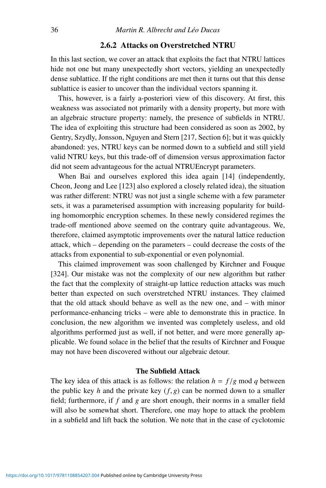# 2.6.2 Attacks on Overstretched NTRU

In this last section, we cover an attack that exploits the fact that NTRU lattices hide not one but many unexpectedly short vectors, yielding an unexpectedly dense sublattice. If the right conditions are met then it turns out that this dense sublattice is easier to uncover than the individual vectors spanning it.

This, however, is a fairly a-posteriori view of this discovery. At first, this weakness was associated not primarily with a density property, but more with an algebraic structure property: namely, the presence of subfields in NTRU. The idea of exploiting this structure had been considered as soon as 2002, by Gentry, Szydly, Jonsson, Nguyen and Stern [217, Section 6]; but it was quickly abandoned: yes, NTRU keys can be normed down to a subfield and still yield valid NTRU keys, but this trade-off of dimension versus approximation factor did not seem advantageous for the actual NTRUEncrypt parameters.

When Bai and ourselves explored this idea again [14] (independently, Cheon, Jeong and Lee [123] also explored a closely related idea), the situation was rather different: NTRU was not just a single scheme with a few parameter sets, it was a parameterised assumption with increasing popularity for building homomorphic encryption schemes. In these newly considered regimes the trade-off mentioned above seemed on the contrary quite advantageous. We, therefore, claimed asymptotic improvements over the natural lattice reduction attack, which – depending on the parameters – could decrease the costs of the attacks from exponential to sub-exponential or even polynomial.

This claimed improvement was soon challenged by Kirchner and Fouque [324]. Our mistake was not the complexity of our new algorithm but rather the fact that the complexity of straight-up lattice reduction attacks was much better than expected on such overstretched NTRU instances. They claimed that the old attack should behave as well as the new one, and – with minor performance-enhancing tricks – were able to demonstrate this in practice. In conclusion, the new algorithm we invented was completely useless, and old algorithms performed just as well, if not better, and were more generally applicable. We found solace in the belief that the results of Kirchner and Fouque may not have been discovered without our algebraic detour.

#### The Subfield Attack

The key idea of this attack is as follows: the relation  $h = f/g \text{ mod } q$  between the public key  $h$  and the private key  $(f, g)$  can be normed down to a smaller field; furthermore, if *f* and *g* are short enough, their norms in a smaller field will also be somewhat short. Therefore, one may hope to attack the problem in a subfield and lift back the solution. We note that in the case of cyclotomic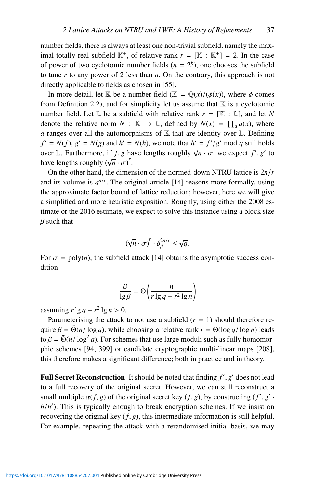number fields, there is always at least one non-trivial subfield, namely the maximal totally real subfield  $\mathbb{K}^+$ , of relative rank  $r = [\mathbb{K} : \mathbb{K}^+] = 2$ . In the case of power of two cyclotomic number fields  $(n = 2<sup>k</sup>)$ , one chooses the subfield to tune *r* to any power of 2 less than *n*. On the contrary, this approach is not directly applicable to fields as chosen in [55].

In more detail, let K be a number field ( $\mathbb{K} = \mathbb{Q}(x)/(\phi(x))$ , where  $\phi$  comes from Definition 2.2), and for simplicity let us assume that  $\mathbb K$  is a cyclotomic number field. Let  $\mathbb L$  be a subfield with relative rank  $r = [\mathbb K : \mathbb L]$ , and let N denote the relative norm  $N : \mathbb{K} \to \mathbb{L}$ , defined by  $N(x) = \prod_a a(x)$ , where *a* ranges over all the automorphisms of  $K$  that are identity over  $L$ . Defining  $f' = N(f), g' = N(g)$  and  $h' = N(h)$ , we note that  $h' = f'/g'$  mod *q* still holds over L. Furthermore, if *f*, *g* have lengths roughly  $\sqrt{n} \cdot \sigma$ , we expect *f'*, *g'* to have lengths roughly  $(\sqrt{n} \cdot \sigma)^r$ .

On the other hand, the dimension of the normed-down NTRU lattice is 2*n*/*r* and its volume is  $q^{n/r}$ . The original article [14] reasons more formally, using the approximate factor bound of lattice reduction; however, here we will give a simplified and more heuristic exposition. Roughly, using either the 2008 estimate or the 2016 estimate, we expect to solve this instance using a block size  $\beta$  such that

$$
(\sqrt{n} \cdot \sigma)^r \cdot \delta_{\beta}^{2n/r} \leq \sqrt{q}.
$$

For  $\sigma = \text{poly}(n)$ , the subfield attack [14] obtains the asymptotic success condition

$$
\frac{\beta}{\lg \beta} = \Theta\left(\frac{n}{r \lg q - r^2 \lg n}\right)
$$

assuming  $r \lg q - r^2 \lg n > 0$ .

Parameterising the attack to not use a subfield  $(r = 1)$  should therefore require  $\beta = \tilde{\Theta}(n/\log q)$ , while choosing a relative rank  $r = \Theta(\log q/\log n)$  leads to  $\beta = \tilde{\Theta}(n/\log^2 q)$ . For schemes that use large moduli such as fully homomorphic schemes [94, 399] or candidate cryptographic multi-linear maps [208], this therefore makes a significant difference; both in practice and in theory.

**Full Secret Reconstruction** It should be noted that finding  $f'$ ,  $g'$  does not lead to a full recovery of the original secret. However, we can still reconstruct a small multiple  $\alpha(f, g)$  of the original secret key  $(f, g)$ , by constructing  $(f', g')$ . *h*/*h* ). This is typically enough to break encryption schemes. If we insist on recovering the original key  $(f, g)$ , this intermediate information is still helpful. For example, repeating the attack with a rerandomised initial basis, we may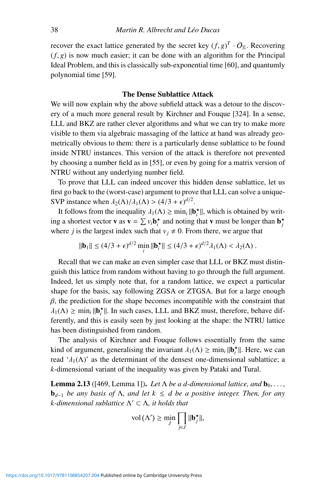recover the exact lattice generated by the secret key  $(f, g)^T \cdot O_K$ . Recovering  $(f, g)$  is now much easier; it can be done with an algorithm for the Principal Ideal Problem, and this is classically sub-exponential time [60], and quantumly polynomial time [59].

#### The Dense Sublattice Attack

We will now explain why the above subfield attack was a detour to the discovery of a much more general result by Kirchner and Fouque [324]. In a sense, LLL and BKZ are rather clever algorithms and what we can try to make more visible to them via algebraic massaging of the lattice at hand was already geometrically obvious to them: there is a particularly dense sublattice to be found inside NTRU instances. This version of the attack is therefore not prevented by choosing a number field as in [55], or even by going for a matrix version of NTRU without any underlying number field.

To prove that LLL can indeed uncover this hidden dense sublattice, let us first go back to the (worst-case) argument to prove that LLL can solve a unique-SVP instance when  $\lambda_2(\Lambda)/\lambda_1(\Lambda) > (4/3 + \epsilon)^{d/2}$ .

It follows from the inequality  $\lambda_1(\Lambda) \ge \min_i ||\mathbf{b}_i^*||$ , which is obtained by writing a shortest vector **v** as  $\mathbf{v} = \sum v_i \mathbf{b}_i^*$  and noting that **v** must be longer than  $\mathbf{b}_j^*$ where *j* is the largest index such that  $v_j \neq 0$ . From there, we argue that

$$
\|\mathbf{b}_1\| \le (4/3 + \epsilon)^{d/2} \min_i \|\mathbf{b}_i^{\star}\| \le (4/3 + \epsilon)^{d/2} \lambda_1(\Lambda) < \lambda_2(\Lambda) \,.
$$

Recall that we can make an even simpler case that LLL or BKZ must distinguish this lattice from random without having to go through the full argument. Indeed, let us simply note that, for a random lattice, we expect a particular shape for the basis, say following ZGSA or ZTGSA. But for a large enough  $\beta$ , the prediction for the shape becomes incompatible with the constraint that  $\lambda_1(\Lambda) \ge \min_i ||\mathbf{b}_i^*||$ . In such cases, LLL and BKZ must, therefore, behave differently, and this is easily seen by just looking at the shape: the NTRU lattice has been distinguished from random.

The analysis of Kirchner and Fouque follows essentially from the same kind of argument, generalising the invariant  $\lambda_1(\Lambda) \ge \min_i ||\mathbf{b}_i^*||$ . Here, we can read ' $\lambda_1(\Lambda)$ ' as the determinant of the densest one-dimensional sublattice; a *k*-dimensional variant of the inequality was given by Pataki and Tural.

**Lemma 2.13** ([469, Lemma 1]). Let  $\Lambda$  be a d-dimensional lattice, and  $\mathbf{b}_0, \ldots$ , b*<sup>d</sup>*−<sup>1</sup> *be any basis of* Λ*, and let k* ≤ *d be a positive integer. Then, for any k*-dimensional sublattice Λ' ⊂ Λ, it holds that

$$
\text{vol}\left(\Lambda'\right) \geq \min_{J} \prod_{j \in J} \|\mathbf{b}_{j}^{\star}\|,
$$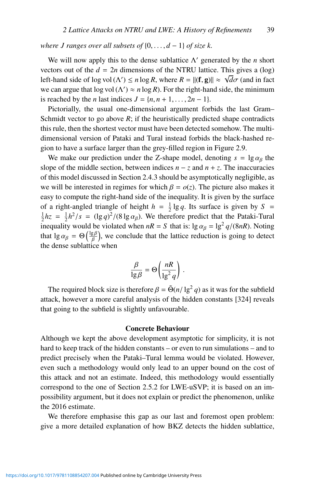*where J ranges over all subsets of* {0,..., *d* − 1} *of size k.*

We will now apply this to the dense sublattice  $\Lambda'$  generated by the *n* short vectors out of the  $d = 2n$  dimensions of the NTRU lattice. This gives a (log) left-hand side of log vol ( $\Lambda'$ )  $\leq n \log R$ , where  $R = ||(\mathbf{f}, \mathbf{g})|| \approx \sqrt{d\sigma}$  (and in fact we can argue that  $log vol(\Lambda') \approx n log R$ ). For the right-hand side, the minimum is reached by the *n* last indices  $J = \{n, n+1, \ldots, 2n-1\}.$ 

Pictorially, the usual one-dimensional argument forbids the last Gram– Schmidt vector to go above *R*; if the heuristically predicted shape contradicts this rule, then the shortest vector must have been detected somehow. The multidimensional version of Pataki and Tural instead forbids the black-hashed region to have a surface larger than the grey-filled region in Figure 2.9.

We make our prediction under the Z-shape model, denoting  $s = \lg \alpha_\beta$  the slope of the middle section, between indices  $n - z$  and  $n + z$ . The inaccuracies of this model discussed in Section 2.4.3 should be asymptotically negligible, as we will be interested in regimes for which  $\beta = o(z)$ . The picture also makes it easy to compute the right-hand side of the inequality. It is given by the surface of a right-angled triangle of height  $h = \frac{1}{2} \lg q$ . Its surface is given by  $S = \frac{1}{2} h z = \frac{1}{2} h^2 / s = (\ln q)^2 / (8 \ln q z)$ . We therefore predict that the Pataki Tural  $\frac{1}{2}$ *hz* =  $\frac{1}{2}$ *h*<sup>2</sup>/*s* = (lg *q*)<sup>2</sup>/(8 lg  $\alpha$ <sub>*β*</sub>). We therefore predict that the Pataki-Tural inequality would be violated when  $nR = S$  that is:  $\lg \alpha_\beta = \lg^2 q/(8nR)$ . Noting that lg  $\alpha_{\beta} = \Theta\left(\frac{\lg \beta}{\beta}\right)$ , we conclude that the lattice reduction is going to detect the dense sublattice when

$$
\frac{\beta}{\lg \beta} = \Theta\left(\frac{nR}{\lg^2 q}\right) \, .
$$

The required block size is therefore  $\beta = \tilde{\Theta}(n/\lg^2 q)$  as it was for the subfield attack, however a more careful analysis of the hidden constants [324] reveals that going to the subfield is slightly unfavourable.

#### Concrete Behaviour

Although we kept the above development asymptotic for simplicity, it is not hard to keep track of the hidden constants – or even to run simulations – and to predict precisely when the Pataki–Tural lemma would be violated. However, even such a methodology would only lead to an upper bound on the cost of this attack and not an estimate. Indeed, this methodology would essentially correspond to the one of Section 2.5.2 for LWE-uSVP; it is based on an impossibility argument, but it does not explain or predict the phenomenon, unlike the 2016 estimate.

We therefore emphasise this gap as our last and foremost open problem: give a more detailed explanation of how BKZ detects the hidden sublattice,